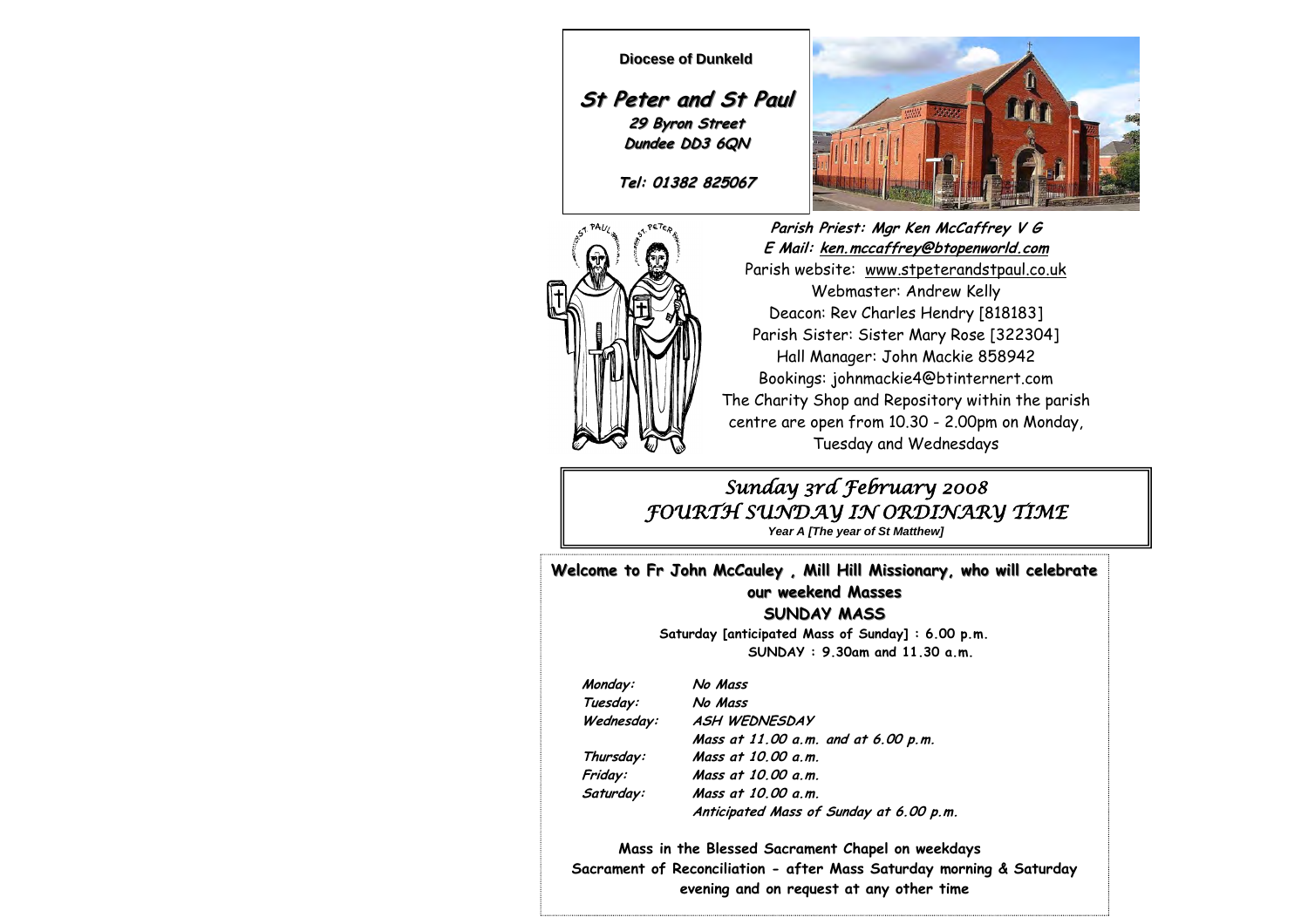# **St Peter and St Paul 29 Byron Street Dundee DD3 6QN**

**Diocese of Dunkeld**

**Tel: 01382 825067**





**Parish Priest: Mgr Ken McCaffrey V G E Mail: ken.mccaffrey@btopenworld.com** Parish website: www.stpeterandstpaul.co.uk Webmaster: Andrew Kelly Deacon: Rev Charles Hendry [818183] Parish Sister: Sister Mary Rose [322304] Hall Manager: John Mackie 858942 Bookings: johnmackie4@btinternert.com The Charity Shop and Repository within the parish centre are open from 10.30 - 2.00pm on Monday, Tuesday and Wednesdays

# *Sunday 3rd February 2008 FOURTH SUNDAY IN ORDINARY TIME*

*Year A [The year of St Matthew]* 

**Welcome to Fr John McCauley , Mill Hill Missionary, who will celebrate** 

## **our weekend Masses**

**SUNDAY MASS**

**Saturday [anticipated Mass of Sunday] : 6.00 p.m. SUNDAY : 9.30am and 11.30 a.m.** 

 **Monday: No Mass** 

 **Tuesday: No Mass Wednesday: ASH WEDNESDAY Mass at 11.00 a.m. and at 6.00 p.m. Thursday: Mass at 10.00 a.m. Friday: Mass at 10.00 a.m. Saturday: Mass at 10.00 a.m. Anticipated Mass of Sunday at 6.00 p.m.** 

**Mass in the Blessed Sacrament Chapel on weekdays Sacrament of Reconciliation - after Mass Saturday morning & Saturday evening and on request at any other time**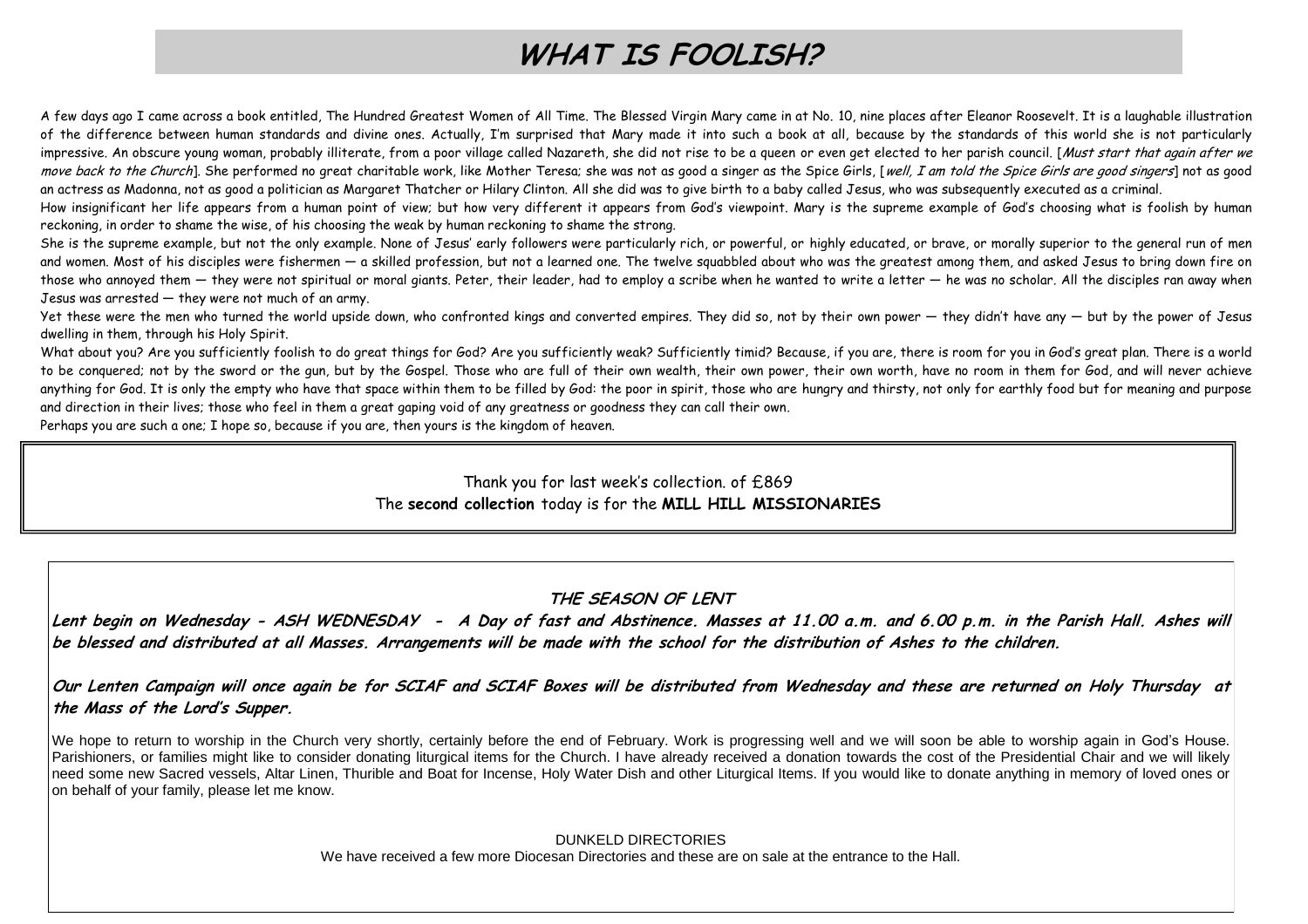# **WHAT IS FOOLISH?**

A few days ago I came across a book entitled, The Hundred Greatest Women of All Time. The Blessed Virgin Mary came in at No. 10, nine places after Eleanor Roosevelt. It is a laughable illustration of the difference between human standards and divine ones. Actually, I'm surprised that Mary made it into such a book at all, because by the standards of this world she is not particularly impressive. An obscure young woman, probably illiterate, from a poor village called Nazareth, she did not rise to be a queen or even get elected to her parish council. [Must start that again after we move back to the Church]. She performed no great charitable work, like Mother Teresa; she was not as good a singer as the Spice Girls, [well, I am told the Spice Girls are good singers] not as good an actress as Madonna, not as good a politician as Margaret Thatcher or Hilary Clinton. All she did was to give birth to a baby called Jesus, who was subsequently executed as a criminal.

How insignificant her life appears from a human point of view; but how very different it appears from God's viewpoint. Mary is the supreme example of God's choosing what is foolish by human reckoning, in order to shame the wise, of his choosing the weak by human reckoning to shame the strong.

She is the supreme example, but not the only example. None of Jesus' early followers were particularly rich, or powerful, or highly educated, or brave, or morally superior to the general run of men and women. Most of his disciples were fishermen — a skilled profession, but not a learned one. The twelve squabbled about who was the greatest among them, and asked Jesus to bring down fire on those who annoyed them — they were not spiritual or moral giants. Peter, their leader, had to employ a scribe when he wanted to write a letter — he was no scholar. All the disciples ran away when Jesus was arrested — they were not much of an army.

Yet these were the men who turned the world upside down, who confronted kings and converted empires. They did so, not by their own power — they didn't have any — but by the power of Jesus dwelling in them, through his Holy Spirit.

What about you? Are you sufficiently foolish to do great things for God? Are you sufficiently weak? Sufficiently timid? Because, if you are, there is room for you in God's great plan. There is a world to be conquered; not by the sword or the gun, but by the Gospel. Those who are full of their own wealth, their own power, their own worth, have no room in them for God, and will never achieve anything for God. It is only the empty who have that space within them to be filled by God: the poor in spirit, those who are hungry and thirsty, not only for earthly food but for meaning and purpose and direction in their lives; those who feel in them a great gaping void of any greatness or goodness they can call their own.

Perhaps you are such a one; I hope so, because if you are, then yours is the kingdom of heaven.

Thank you for last week's collection. of £869 The **second collection** today is for the **MILL HILL MISSIONARIES**

### **THE SEASON OF LENT**

**Lent begin on Wednesday - ASH WEDNESDAY - A Day of fast and Abstinence. Masses at 11.00 a.m. and 6.00 p.m. in the Parish Hall. Ashes will be blessed and distributed at all Masses. Arrangements will be made with the school for the distribution of Ashes to the children.**

**Our Lenten Campaign will once again be for SCIAF and SCIAF Boxes will be distributed from Wednesday and these are returned on Holy Thursday at the Mass of the Lord's Supper.**

We hope to return to worship in the Church very shortly, certainly before the end of February. Work is progressing well and we will soon be able to worship again in God's House. Parishioners, or families might like to consider donating liturgical items for the Church. I have already received a donation towards the cost of the Presidential Chair and we will likely need some new Sacred vessels, Altar Linen, Thurible and Boat for Incense, Holy Water Dish and other Liturgical Items. If you would like to donate anything in memory of loved ones or on behalf of your family, please let me know.

> DUNKELD DIRECTORIES We have received a few more Diocesan Directories and these are on sale at the entrance to the Hall.